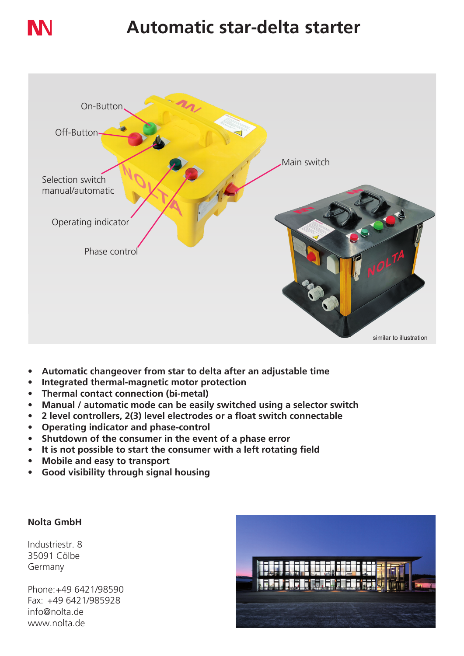

# **Automatic star-delta starter**



- **• Automatic changeover from star to delta after an adjustable time**
- **• Integrated thermal-magnetic motor protection**
- **• Thermal contact connection (bi-metal)**
- **• Manual / automatic mode can be easily switched using a selector switch**
- **• 2 level controllers, 2(3) level electrodes or a float switch connectable**
- **• Operating indicator and phase-control**
- **• Shutdown of the consumer in the event of a phase error**
- **• It is not possible to start the consumer with a left rotating field**
- **• Mobile and easy to transport**
- **• Good visibility through signal housing**

### **Nolta GmbH**

Industriestr. 8 35091 Cölbe Germany

Phone:+49 6421/98590 Fax: +49 6421/985928 info@nolta.de www.nolta.de